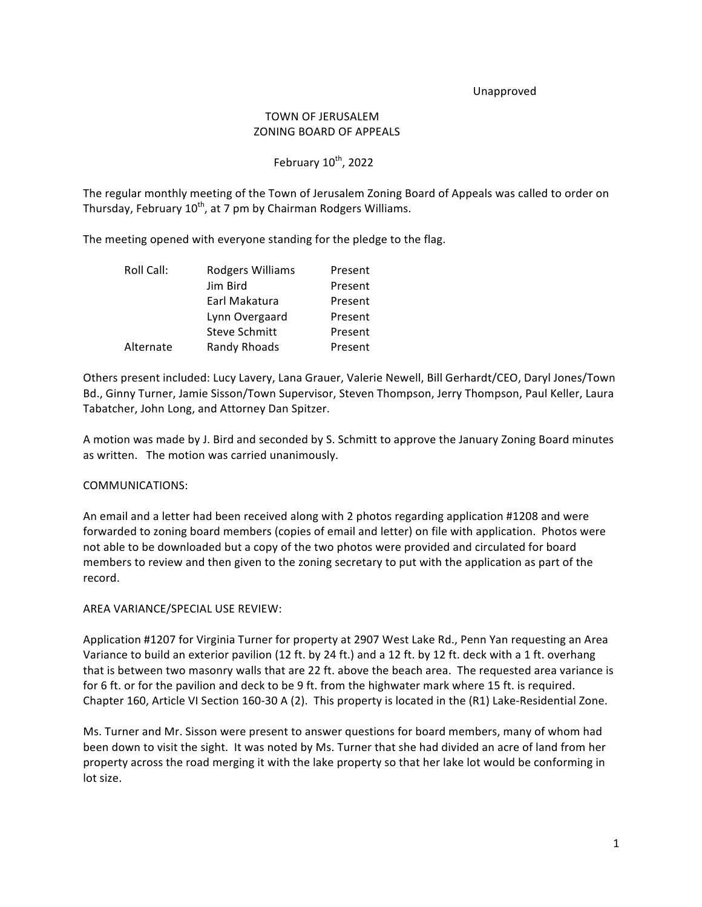#### Unapproved

# TOWN OF JERUSALEM **ZONING BOARD OF APPEALS**

## February  $10^{th}$ , 2022

The regular monthly meeting of the Town of Jerusalem Zoning Board of Appeals was called to order on Thursday, February  $10^{th}$ , at 7 pm by Chairman Rodgers Williams.

The meeting opened with everyone standing for the pledge to the flag.

| Roll Call: | Rodgers Williams     | Present |
|------------|----------------------|---------|
|            | Jim Bird             | Present |
|            | Earl Makatura        | Present |
|            | Lynn Overgaard       | Present |
|            | <b>Steve Schmitt</b> | Present |
| Alternate  | Randy Rhoads         | Present |

Others present included: Lucy Lavery, Lana Grauer, Valerie Newell, Bill Gerhardt/CEO, Daryl Jones/Town Bd., Ginny Turner, Jamie Sisson/Town Supervisor, Steven Thompson, Jerry Thompson, Paul Keller, Laura Tabatcher, John Long, and Attorney Dan Spitzer.

A motion was made by J. Bird and seconded by S. Schmitt to approve the January Zoning Board minutes as written. The motion was carried unanimously.

### COMMUNICATIONS:

An email and a letter had been received along with 2 photos regarding application #1208 and were forwarded to zoning board members (copies of email and letter) on file with application. Photos were not able to be downloaded but a copy of the two photos were provided and circulated for board members to review and then given to the zoning secretary to put with the application as part of the record.

#### AREA VARIANCE/SPECIAL USE REVIEW:

Application #1207 for Virginia Turner for property at 2907 West Lake Rd., Penn Yan requesting an Area Variance to build an exterior pavilion (12 ft. by 24 ft.) and a 12 ft. by 12 ft. deck with a 1 ft. overhang that is between two masonry walls that are 22 ft. above the beach area. The requested area variance is for 6 ft. or for the pavilion and deck to be 9 ft. from the highwater mark where 15 ft. is required. Chapter 160, Article VI Section 160-30 A (2). This property is located in the  $(R1)$  Lake-Residential Zone.

Ms. Turner and Mr. Sisson were present to answer questions for board members, many of whom had been down to visit the sight. It was noted by Ms. Turner that she had divided an acre of land from her property across the road merging it with the lake property so that her lake lot would be conforming in lot size.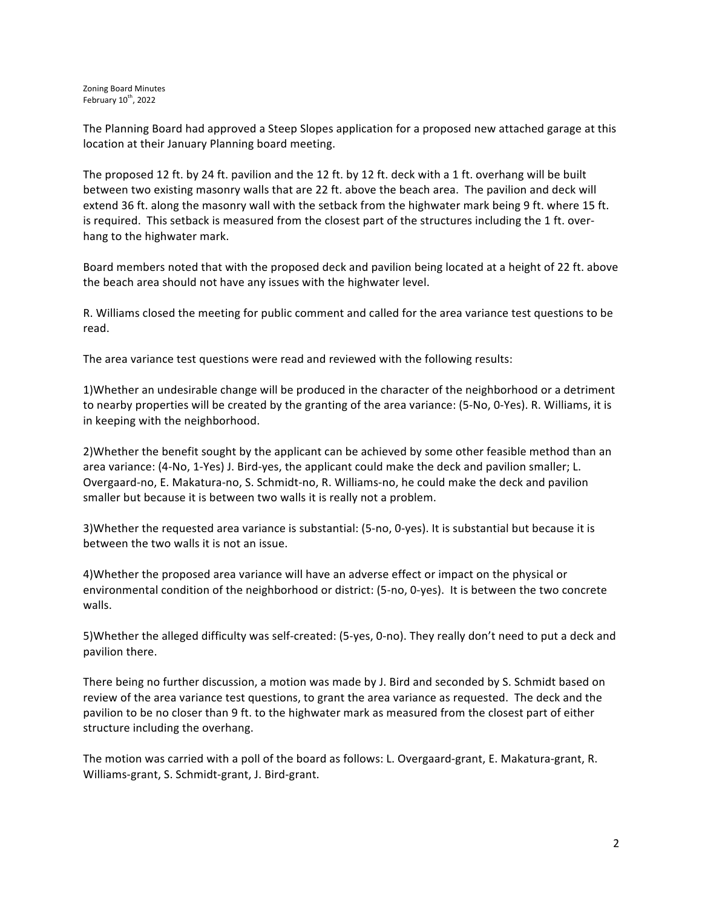The Planning Board had approved a Steep Slopes application for a proposed new attached garage at this location at their January Planning board meeting.

The proposed 12 ft. by 24 ft. pavilion and the 12 ft. by 12 ft. deck with a 1 ft. overhang will be built between two existing masonry walls that are 22 ft. above the beach area. The pavilion and deck will extend 36 ft. along the masonry wall with the setback from the highwater mark being 9 ft. where 15 ft. is required. This setback is measured from the closest part of the structures including the 1 ft. overhang to the highwater mark.

Board members noted that with the proposed deck and pavilion being located at a height of 22 ft. above the beach area should not have any issues with the highwater level.

R. Williams closed the meeting for public comment and called for the area variance test questions to be read.

The area variance test questions were read and reviewed with the following results:

1)Whether an undesirable change will be produced in the character of the neighborhood or a detriment to nearby properties will be created by the granting of the area variance: (5-No, 0-Yes). R. Williams, it is in keeping with the neighborhood.

2) Whether the benefit sought by the applicant can be achieved by some other feasible method than an area variance: (4-No, 1-Yes) J. Bird-yes, the applicant could make the deck and pavilion smaller; L. Overgaard-no, E. Makatura-no, S. Schmidt-no, R. Williams-no, he could make the deck and pavilion smaller but because it is between two walls it is really not a problem.

3) Whether the requested area variance is substantial: (5-no, 0-yes). It is substantial but because it is between the two walls it is not an issue.

4)Whether the proposed area variance will have an adverse effect or impact on the physical or environmental condition of the neighborhood or district: (5-no, 0-yes). It is between the two concrete walls.

5) Whether the alleged difficulty was self-created: (5-yes, 0-no). They really don't need to put a deck and pavilion there.

There being no further discussion, a motion was made by J. Bird and seconded by S. Schmidt based on review of the area variance test questions, to grant the area variance as requested. The deck and the pavilion to be no closer than 9 ft. to the highwater mark as measured from the closest part of either structure including the overhang.

The motion was carried with a poll of the board as follows: L. Overgaard-grant, E. Makatura-grant, R. Williams-grant, S. Schmidt-grant, J. Bird-grant.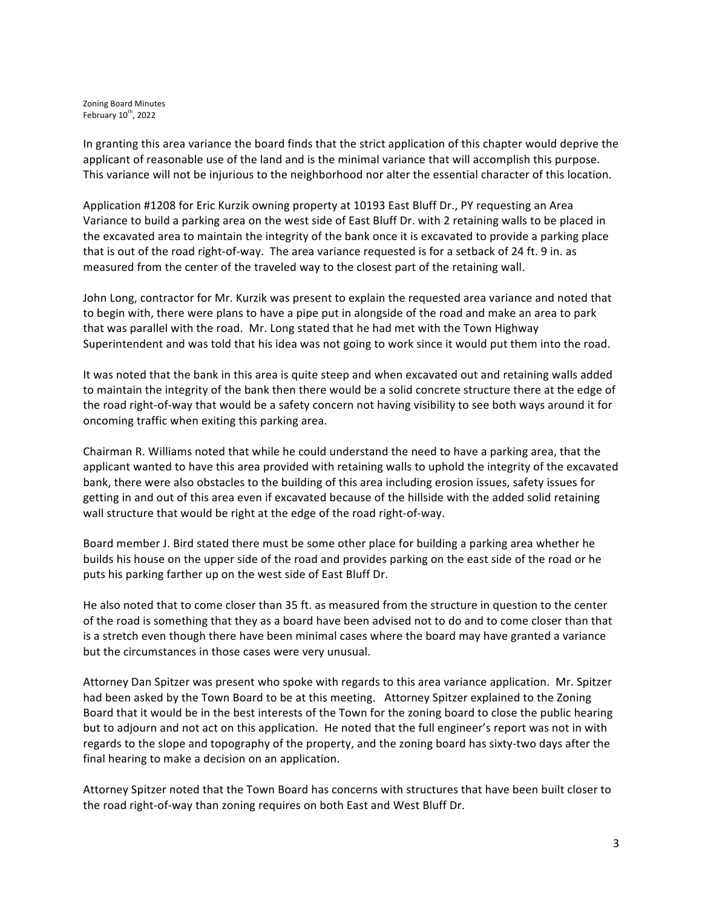Zoning Board Minutes February  $10^{th}$ , 2022

In granting this area variance the board finds that the strict application of this chapter would deprive the applicant of reasonable use of the land and is the minimal variance that will accomplish this purpose. This variance will not be injurious to the neighborhood nor alter the essential character of this location.

Application #1208 for Eric Kurzik owning property at 10193 East Bluff Dr., PY requesting an Area Variance to build a parking area on the west side of East Bluff Dr. with 2 retaining walls to be placed in the excavated area to maintain the integrity of the bank once it is excavated to provide a parking place that is out of the road right-of-way. The area variance requested is for a setback of 24 ft. 9 in. as measured from the center of the traveled way to the closest part of the retaining wall.

John Long, contractor for Mr. Kurzik was present to explain the requested area variance and noted that to begin with, there were plans to have a pipe put in alongside of the road and make an area to park that was parallel with the road. Mr. Long stated that he had met with the Town Highway Superintendent and was told that his idea was not going to work since it would put them into the road.

It was noted that the bank in this area is quite steep and when excavated out and retaining walls added to maintain the integrity of the bank then there would be a solid concrete structure there at the edge of the road right-of-way that would be a safety concern not having visibility to see both ways around it for oncoming traffic when exiting this parking area.

Chairman R. Williams noted that while he could understand the need to have a parking area, that the applicant wanted to have this area provided with retaining walls to uphold the integrity of the excavated bank, there were also obstacles to the building of this area including erosion issues, safety issues for getting in and out of this area even if excavated because of the hillside with the added solid retaining wall structure that would be right at the edge of the road right-of-way.

Board member J. Bird stated there must be some other place for building a parking area whether he builds his house on the upper side of the road and provides parking on the east side of the road or he puts his parking farther up on the west side of East Bluff Dr.

He also noted that to come closer than 35 ft. as measured from the structure in question to the center of the road is something that they as a board have been advised not to do and to come closer than that is a stretch even though there have been minimal cases where the board may have granted a variance but the circumstances in those cases were very unusual.

Attorney Dan Spitzer was present who spoke with regards to this area variance application. Mr. Spitzer had been asked by the Town Board to be at this meeting. Attorney Spitzer explained to the Zoning Board that it would be in the best interests of the Town for the zoning board to close the public hearing but to adjourn and not act on this application. He noted that the full engineer's report was not in with regards to the slope and topography of the property, and the zoning board has sixty-two days after the final hearing to make a decision on an application.

Attorney Spitzer noted that the Town Board has concerns with structures that have been built closer to the road right-of-way than zoning requires on both East and West Bluff Dr.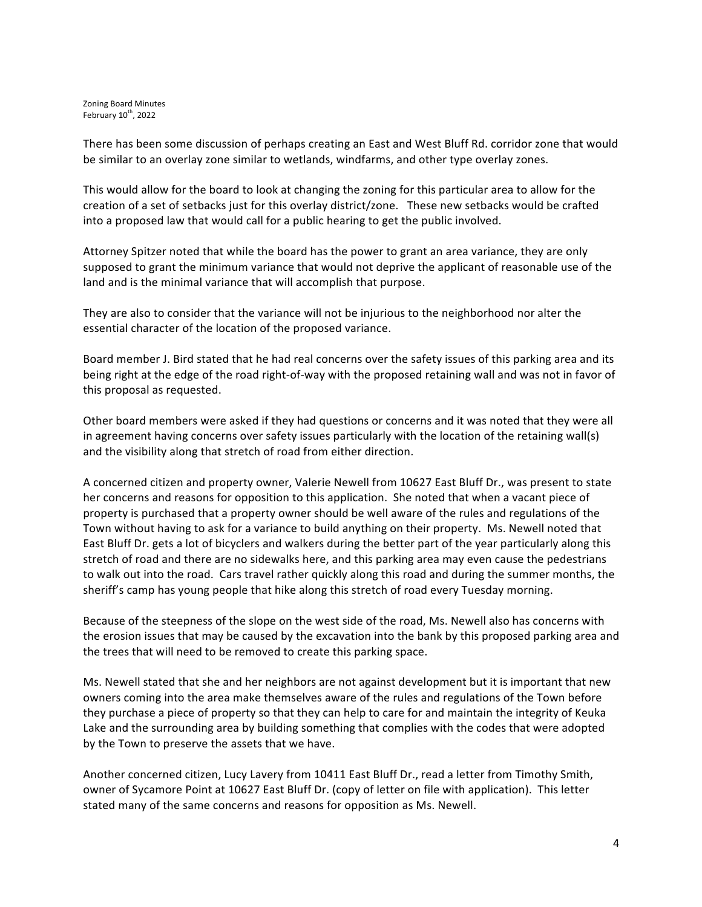Zoning Board Minutes February  $10^{th}$ , 2022

There has been some discussion of perhaps creating an East and West Bluff Rd. corridor zone that would be similar to an overlay zone similar to wetlands, windfarms, and other type overlay zones.

This would allow for the board to look at changing the zoning for this particular area to allow for the creation of a set of setbacks just for this overlay district/zone. These new setbacks would be crafted into a proposed law that would call for a public hearing to get the public involved.

Attorney Spitzer noted that while the board has the power to grant an area variance, they are only supposed to grant the minimum variance that would not deprive the applicant of reasonable use of the land and is the minimal variance that will accomplish that purpose.

They are also to consider that the variance will not be injurious to the neighborhood nor alter the essential character of the location of the proposed variance.

Board member J. Bird stated that he had real concerns over the safety issues of this parking area and its being right at the edge of the road right-of-way with the proposed retaining wall and was not in favor of this proposal as requested.

Other board members were asked if they had questions or concerns and it was noted that they were all in agreement having concerns over safety issues particularly with the location of the retaining wall(s) and the visibility along that stretch of road from either direction.

A concerned citizen and property owner, Valerie Newell from 10627 East Bluff Dr., was present to state her concerns and reasons for opposition to this application. She noted that when a vacant piece of property is purchased that a property owner should be well aware of the rules and regulations of the Town without having to ask for a variance to build anything on their property. Ms. Newell noted that East Bluff Dr. gets a lot of bicyclers and walkers during the better part of the year particularly along this stretch of road and there are no sidewalks here, and this parking area may even cause the pedestrians to walk out into the road. Cars travel rather quickly along this road and during the summer months, the sheriff's camp has young people that hike along this stretch of road every Tuesday morning.

Because of the steepness of the slope on the west side of the road, Ms. Newell also has concerns with the erosion issues that may be caused by the excavation into the bank by this proposed parking area and the trees that will need to be removed to create this parking space.

Ms. Newell stated that she and her neighbors are not against development but it is important that new owners coming into the area make themselves aware of the rules and regulations of the Town before they purchase a piece of property so that they can help to care for and maintain the integrity of Keuka Lake and the surrounding area by building something that complies with the codes that were adopted by the Town to preserve the assets that we have.

Another concerned citizen, Lucy Lavery from 10411 East Bluff Dr., read a letter from Timothy Smith, owner of Sycamore Point at 10627 East Bluff Dr. (copy of letter on file with application). This letter stated many of the same concerns and reasons for opposition as Ms. Newell.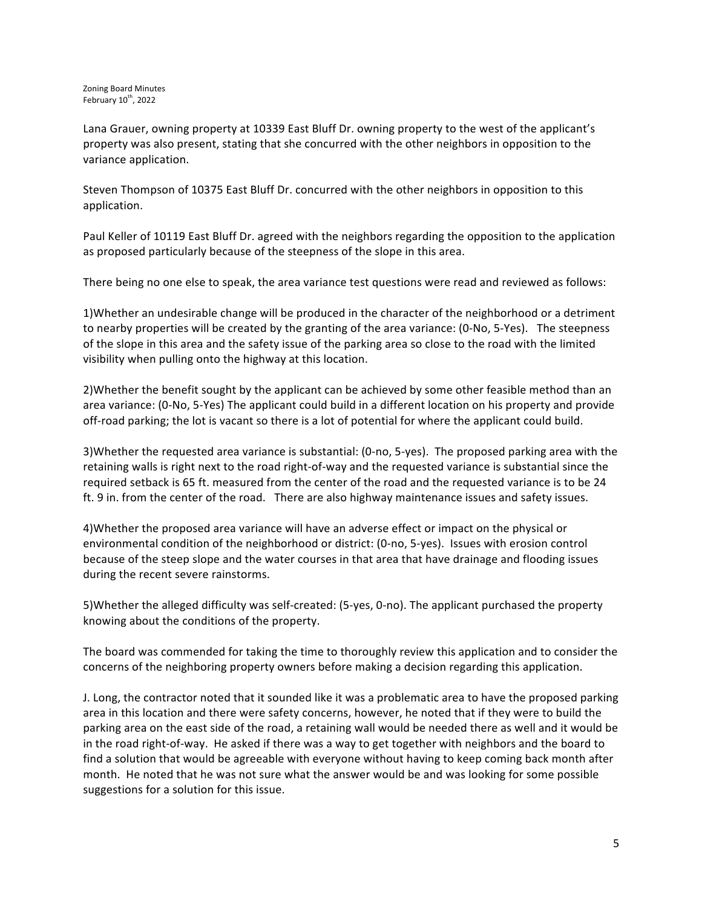Lana Grauer, owning property at 10339 East Bluff Dr. owning property to the west of the applicant's property was also present, stating that she concurred with the other neighbors in opposition to the variance application.

Steven Thompson of 10375 East Bluff Dr. concurred with the other neighbors in opposition to this application.

Paul Keller of 10119 East Bluff Dr. agreed with the neighbors regarding the opposition to the application as proposed particularly because of the steepness of the slope in this area.

There being no one else to speak, the area variance test questions were read and reviewed as follows:

1)Whether an undesirable change will be produced in the character of the neighborhood or a detriment to nearby properties will be created by the granting of the area variance: (0-No, 5-Yes). The steepness of the slope in this area and the safety issue of the parking area so close to the road with the limited visibility when pulling onto the highway at this location.

2) Whether the benefit sought by the applicant can be achieved by some other feasible method than an area variance: (0-No, 5-Yes) The applicant could build in a different location on his property and provide off-road parking; the lot is vacant so there is a lot of potential for where the applicant could build.

3)Whether the requested area variance is substantial: (0-no, 5-yes). The proposed parking area with the retaining walls is right next to the road right-of-way and the requested variance is substantial since the required setback is 65 ft. measured from the center of the road and the requested variance is to be 24 ft. 9 in. from the center of the road. There are also highway maintenance issues and safety issues.

4)Whether the proposed area variance will have an adverse effect or impact on the physical or environmental condition of the neighborhood or district: (0-no, 5-yes). Issues with erosion control because of the steep slope and the water courses in that area that have drainage and flooding issues during the recent severe rainstorms.

5)Whether the alleged difficulty was self-created: (5-yes, 0-no). The applicant purchased the property knowing about the conditions of the property.

The board was commended for taking the time to thoroughly review this application and to consider the concerns of the neighboring property owners before making a decision regarding this application.

J. Long, the contractor noted that it sounded like it was a problematic area to have the proposed parking area in this location and there were safety concerns, however, he noted that if they were to build the parking area on the east side of the road, a retaining wall would be needed there as well and it would be in the road right-of-way. He asked if there was a way to get together with neighbors and the board to find a solution that would be agreeable with everyone without having to keep coming back month after month. He noted that he was not sure what the answer would be and was looking for some possible suggestions for a solution for this issue.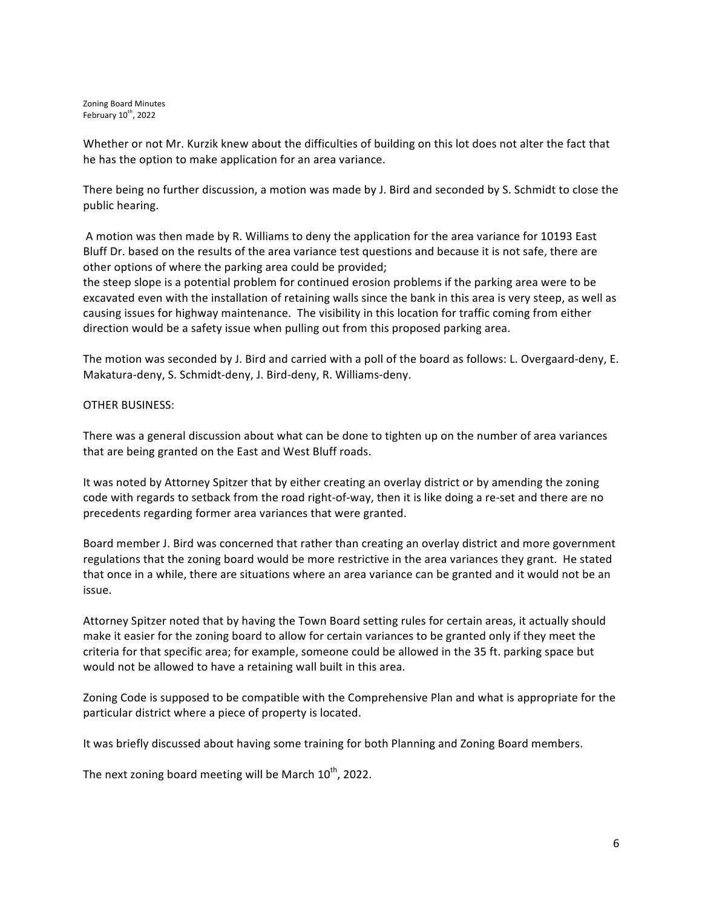Zoning Board Minutes February  $10^{th}$ , 2022

Whether or not Mr. Kurzik knew about the difficulties of building on this lot does not alter the fact that he has the option to make application for an area variance.

There being no further discussion, a motion was made by J. Bird and seconded by S. Schmidt to close the public hearing.

A motion was then made by R. Williams to deny the application for the area variance for 10193 East Bluff Dr. based on the results of the area variance test questions and because it is not safe, there are other options of where the parking area could be provided;

the steep slope is a potential problem for continued erosion problems if the parking area were to be excavated even with the installation of retaining walls since the bank in this area is very steep, as well as causing issues for highway maintenance. The visibility in this location for traffic coming from either direction would be a safety issue when pulling out from this proposed parking area.

The motion was seconded by J. Bird and carried with a poll of the board as follows: L. Overgaard-deny, E. Makatura-deny, S. Schmidt-deny, J. Bird-deny, R. Williams-deny.

OTHER BUSINESS:

There was a general discussion about what can be done to tighten up on the number of area variances that are being granted on the East and West Bluff roads.

It was noted by Attorney Spitzer that by either creating an overlay district or by amending the zoning code with regards to setback from the road right-of-way, then it is like doing a re-set and there are no precedents regarding former area variances that were granted.

Board member J. Bird was concerned that rather than creating an overlay district and more government regulations that the zoning board would be more restrictive in the area variances they grant. He stated that once in a while, there are situations where an area variance can be granted and it would not be an issue.

Attorney Spitzer noted that by having the Town Board setting rules for certain areas, it actually should make it easier for the zoning board to allow for certain variances to be granted only if they meet the criteria for that specific area; for example, someone could be allowed in the 35 ft. parking space but would not be allowed to have a retaining wall built in this area.

Zoning Code is supposed to be compatible with the Comprehensive Plan and what is appropriate for the particular district where a piece of property is located.

It was briefly discussed about having some training for both Planning and Zoning Board members.

The next zoning board meeting will be March  $10^{th}$ , 2022.